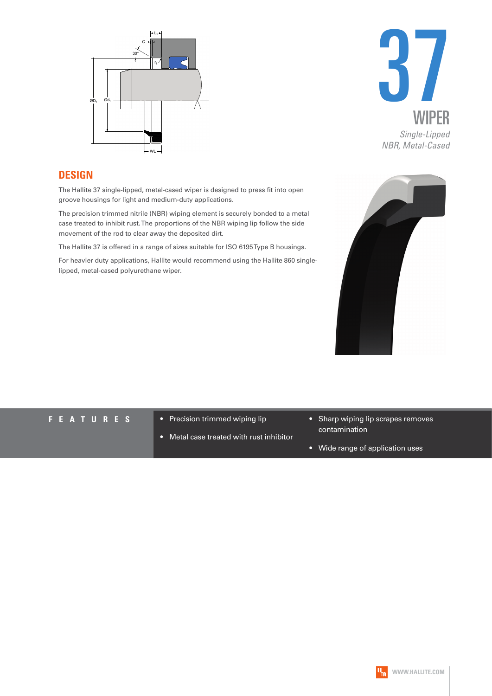



#### **DESIGN**

The Hallite 37 single-lipped, metal-cased wiper is designed to press fit into open groove housings for light and medium-duty applications.

The precision trimmed nitrile (NBR) wiping element is securely bonded to a metal case treated to inhibit rust. The proportions of the NBR wiping lip follow the side movement of the rod to clear away the deposited dirt.

The Hallite 37 is offered in a range of sizes suitable for ISO 6195 Type B housings.

For heavier duty applications, Hallite would recommend using the Hallite 860 singlelipped, metal-cased polyurethane wiper.



- **F E A T U R E S** Precision trimmed wiping lip
	- Metal case treated with rust inhibitor
- Sharp wiping lip scrapes removes contamination
- Wide range of application uses

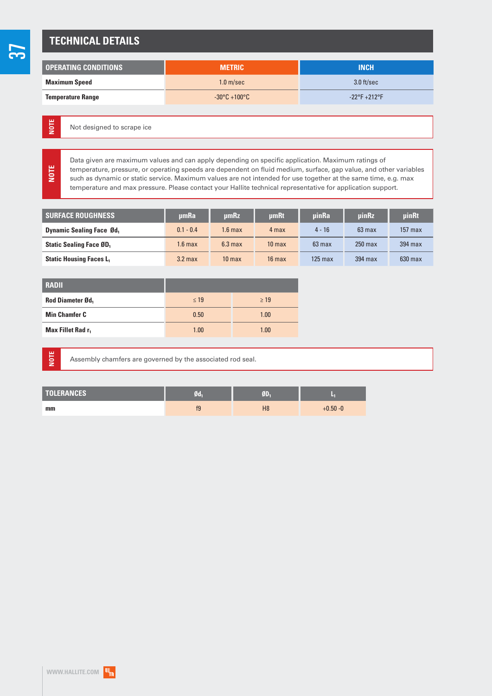#### **TECHNICAL DETAILS**

| <b>OPERATING CONDITIONS</b> | <b>METRIC</b>                     | <b>INCH</b>                   |
|-----------------------------|-----------------------------------|-------------------------------|
| <b>Maximum Speed</b>        | 1.0 <sub>m/sec</sub>              | 3.0 ft/sec                    |
| <b>Temperature Range</b>    | $-30^{\circ}$ C +100 $^{\circ}$ C | $-22^{\circ}F + 212^{\circ}F$ |

Not designed to scrape ice

Data given are maximum values and can apply depending on specific application. Maximum ratings of temperature, pressure, or operating speeds are dependent on fluid medium, surface, gap value, and other variables such as dynamic or static service. Maximum values are not intended for use together at the same time, e.g. max temperature and max pressure. Please contact your Hallite technical representative for application support.

| <b>SURFACE ROUGHNESS</b>                   | umRa              | umRz              | umRt              | <b>uinRa</b> | uinRz            | <b>uinRt</b> |
|--------------------------------------------|-------------------|-------------------|-------------------|--------------|------------------|--------------|
| <b>Dynamic Sealing Face Ød</b>             | $0.1 - 0.4$       | 1.6 max           | 4 max             | $4 - 16$     | $63 \text{ max}$ | $157$ max    |
| <b>Static Sealing Face ØD</b> <sub>1</sub> | $1.6 \text{ max}$ | $6.3 \text{ max}$ | 10 <sub>max</sub> | $63$ max     | $250$ max        | 394 max      |
| <b>Static Housing Faces L1</b>             | $3.2$ max         | 10 <sub>max</sub> | $16$ max          | $125$ max    | 394 max          | $630$ max    |

| <b>RADII</b>                  |           |           |
|-------------------------------|-----------|-----------|
| <b>Rod Diameter Ød.</b>       | $\leq 19$ | $\geq 19$ |
| <b>Min Chamfer C</b>          | 0.50      | 1.00      |
| Max Fillet Rad r <sub>1</sub> | 1.00      | 1.00      |

**NOTE**

**NOTE**

**NOTE**

Assembly chamfers are governed by the associated rod seal.

| <b>TOLERANCES</b> | Ød             |                |             |
|-------------------|----------------|----------------|-------------|
| mm                | f <sub>9</sub> | H <sub>8</sub> | $+0.50 - 0$ |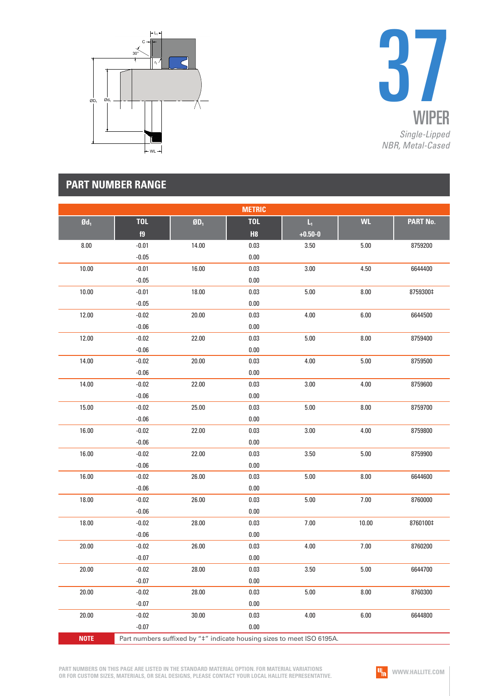



|                   |                                                                        |        | <b>METRIC</b>    |                                        |           |          |
|-------------------|------------------------------------------------------------------------|--------|------------------|----------------------------------------|-----------|----------|
| $\mathfrak{gd}_1$ | <b>TOL</b><br>f9                                                       | $ØD_1$ | <b>TOL</b><br>H8 | $\mathsf{L}_\mathsf{t}$<br>$+0.50 - 0$ | <b>WL</b> | PART No. |
| $8.00\,$          | $-0.01$                                                                | 14.00  | $0.03\,$         | 3.50                                   | $5.00\,$  | 8759200  |
|                   | $-0.05$                                                                |        | $0.00\,$         |                                        |           |          |
| 10.00             | $-0.01$                                                                | 16.00  | $0.03\,$         | 3.00                                   | 4.50      | 6644400  |
|                   | $-0.05$                                                                |        | $0.00\,$         |                                        |           |          |
| 10.00             | $-0.01$                                                                | 18.00  | 0.03             | $5.00$                                 | 8.00      | 8759300‡ |
|                   | $-0.05$                                                                |        | $0.00\,$         |                                        |           |          |
| 12.00             | $-0.02$                                                                | 20.00  | 0.03             | 4.00                                   | 6.00      | 6644500  |
|                   | $-0.06$                                                                |        | $0.00\,$         |                                        |           |          |
| 12.00             | $-0.02$                                                                | 22.00  | $0.03\,$         | $5.00$                                 | $8.00\,$  | 8759400  |
|                   | $-0.06$                                                                |        | $0.00\,$         |                                        |           |          |
| 14.00             | $-0.02$                                                                | 20.00  | 0.03             | 4.00                                   | $5.00\,$  | 8759500  |
|                   | $-0.06$                                                                |        | $0.00\,$         |                                        |           |          |
| 14.00             | $-0.02$                                                                | 22.00  | 0.03             | 3.00                                   | 4.00      | 8759600  |
|                   | $-0.06$                                                                |        | $0.00\,$         |                                        |           |          |
| 15.00             | $-0.02$                                                                | 25.00  | $0.03\,$         | $5.00$                                 | $8.00\,$  | 8759700  |
|                   | $-0.06$                                                                |        | $0.00\,$         |                                        |           |          |
| 16.00             | $-0.02$                                                                | 22.00  | 0.03             | 3.00                                   | 4.00      | 8759800  |
|                   | $-0.06$                                                                |        | $0.00\,$         |                                        |           |          |
| 16.00             | $-0.02$                                                                | 22.00  | $0.03\,$         | 3.50                                   | $5.00\,$  | 8759900  |
|                   | $-0.06$                                                                |        | $0.00\,$         |                                        |           |          |
| 16.00             | $-0.02$                                                                | 26.00  | $0.03\,$         | $5.00\,$                               | $8.00\,$  | 6644600  |
|                   | $-0.06$                                                                |        | $0.00\,$         |                                        |           |          |
| 18.00             | $-0.02$                                                                | 26.00  | 0.03             | $5.00$                                 | $7.00$    | 8760000  |
|                   | $-0.06$                                                                |        | $0.00\,$         |                                        |           |          |
| 18.00             | $-0.02$                                                                | 28.00  | $0.03\,$         | $7.00$                                 | 10.00     | 8760100‡ |
|                   | $-0.06$                                                                |        | $0.00\,$         |                                        |           |          |
| 20.00             | $-0.02$                                                                | 26.00  | $0.03\,$         | 4.00                                   | $7.00\,$  | 8760200  |
|                   | $-0.07$                                                                |        | $0.00\,$         |                                        |           |          |
| 20.00             | $-0.02$                                                                | 28.00  | 0.03             | 3.50                                   | $5.00\,$  | 6644700  |
|                   | $-0.07$                                                                |        | 0.00             |                                        |           |          |
| 20.00             | $-0.02$                                                                | 28.00  | 0.03             | $5.00$                                 | 8.00      | 8760300  |
|                   | $-0.07$                                                                |        | 0.00             |                                        |           |          |
| 20.00             | $-0.02$                                                                | 30.00  | 0.03             | 4.00                                   | 6.00      | 6644800  |
|                   | $-0.07$                                                                |        | $0.00\,$         |                                        |           |          |
| <b>NOTE</b>       | Part numbers suffixed by "#" indicate housing sizes to meet ISO 6195A. |        |                  |                                        |           |          |

**PART NUMBERS ON THIS PAGE ARE LISTED IN THE STANDARD MATERIAL OPTION. FOR MATERIAL VARIATIONS OR FOR CUSTOM SIZES, MATERIALS, OR SEAL DESIGNS, PLEASE CONTACT YOUR LOCAL HALLITE REPRESENTATIVE.**

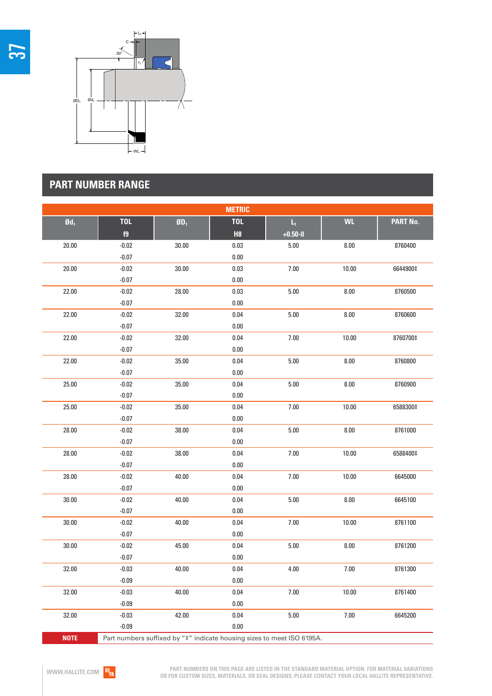



| <b>METRIC</b>     |            |                                  |            |                                                                                   |           |          |
|-------------------|------------|----------------------------------|------------|-----------------------------------------------------------------------------------|-----------|----------|
| $\mathfrak{gd}_1$ | <b>TOL</b> | $\boldsymbol{0}\boldsymbol{D}_1$ | <b>TOL</b> | $\mathsf{L}_1$                                                                    | <b>WL</b> | PART No. |
|                   | f9         |                                  | H8         | $+0.50 - 0$                                                                       |           |          |
| 20.00             | $-0.02$    | 30.00                            | $0.03\,$   | $5.00\,$                                                                          | $8.00\,$  | 8760400  |
|                   | $-0.07$    |                                  | $0.00\,$   |                                                                                   |           |          |
| 20.00             | $-0.02$    | 30.00                            | $0.03\,$   | $7.00\,$                                                                          | 10.00     | 6644900‡ |
|                   | $-0.07$    |                                  | $0.00\,$   |                                                                                   |           |          |
| 22.00             | $-0.02$    | 28.00                            | $0.03\,$   | $5.00\,$                                                                          | 8.00      | 8760500  |
|                   | $-0.07$    |                                  | $0.00\,$   |                                                                                   |           |          |
| 22.00             | $-0.02$    | 32.00                            | $0.04\,$   | $5.00\,$                                                                          | $8.00\,$  | 8760600  |
|                   | $-0.07$    |                                  | $0.00\,$   |                                                                                   |           |          |
| 22.00             | $-0.02$    | 32.00                            | 0.04       | $7.00$                                                                            | 10.00     | 8760700‡ |
|                   | $-0.07$    |                                  | $0.00\,$   |                                                                                   |           |          |
| 22.00             | $-0.02$    | 35.00                            | $0.04\,$   | $5.00\,$                                                                          | $8.00\,$  | 8760800  |
|                   | $-0.07$    |                                  | $0.00\,$   |                                                                                   |           |          |
| 25.00             | $-0.02$    | 35.00                            | 0.04       | 5.00                                                                              | 8.00      | 8760900  |
|                   | $-0.07$    |                                  | $0.00\,$   |                                                                                   |           |          |
| 25.00             | $-0.02$    | 35.00                            | $0.04\,$   | $7.00$                                                                            | 10.00     | 6588300‡ |
|                   | $-0.07$    |                                  | $0.00\,$   |                                                                                   |           |          |
| 28.00             | $-0.02$    | 38.00                            | $0.04\,$   | $5.00\,$                                                                          | $8.00\,$  | 8761000  |
|                   | $-0.07$    |                                  | $0.00\,$   |                                                                                   |           |          |
| 28.00             | $-0.02$    | 38.00                            | 0.04       | 7.00                                                                              | 10.00     | 6588400‡ |
|                   | $-0.07$    |                                  | $0.00\,$   |                                                                                   |           |          |
| 28.00             | $-0.02$    | 40.00                            | 0.04       | $7.00$                                                                            | 10.00     | 6645000  |
|                   | $-0.07$    |                                  | $0.00\,$   |                                                                                   |           |          |
| 30.00             | $-0.02$    | 40.00                            | $0.04\,$   | $5.00\,$                                                                          | $8.00\,$  | 6645100  |
|                   | $-0.07$    |                                  | $0.00\,$   |                                                                                   |           |          |
| 30.00             | $-0.02$    | 40.00                            | 0.04       | 7.00                                                                              | 10.00     | 8761100  |
|                   | $-0.07$    |                                  | $0.00\,$   |                                                                                   |           |          |
| 30.00             | $-0.02$    | 45.00                            | $0.04\,$   | $5.00\,$                                                                          | $8.00\,$  | 8761200  |
|                   | $-0.07$    |                                  | $0.00\,$   |                                                                                   |           |          |
| 32.00             | $-0.03$    | 40.00                            | 0.04       | 4.00                                                                              | $7.00$    | 8761300  |
|                   | $-0.09$    |                                  | 0.00       |                                                                                   |           |          |
| 32.00             | $-0.03$    | 40.00                            | 0.04       | 7.00                                                                              | 10.00     | 8761400  |
|                   | $-0.09$    |                                  | 0.00       |                                                                                   |           |          |
| 32.00             | $-0.03$    | 42.00                            | 0.04       | $5.00\,$                                                                          | 7.00      | 6645200  |
|                   | $-0.09$    |                                  | $0.00\,$   |                                                                                   |           |          |
| <b>NOTE</b>       |            |                                  |            | Part numbers suffixed by " <sup>+"</sup> indicate bousing sizes to meet ISO 6195A |           |          |

Part numbers suffixed by " $\ddagger$ " indicate housing sizes to meet ISO 6195A.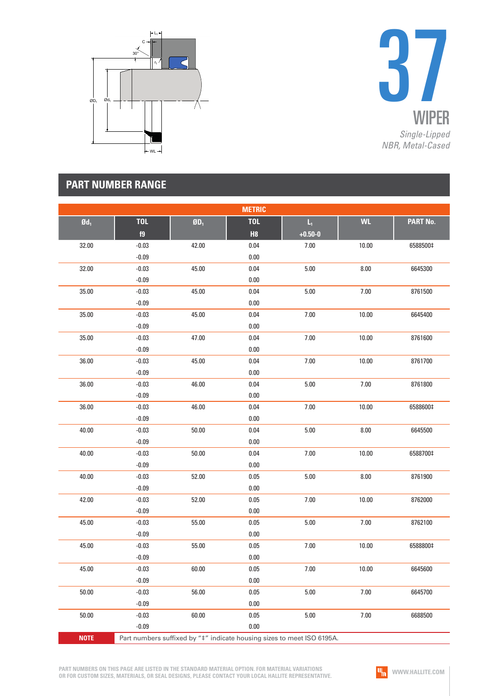



|                   |            |                       | <b>METRIC</b> |                                                                        |           |                 |
|-------------------|------------|-----------------------|---------------|------------------------------------------------------------------------|-----------|-----------------|
| $\mathfrak{gd}_1$ | <b>TOL</b> | ${\bf \textsf{0D}}_1$ | <b>TOL</b>    | $\mathsf{L}_\mathrm{t}$                                                | <b>WL</b> | <b>PART No.</b> |
|                   | f9         |                       | H8            | $+0.50 - 0$                                                            |           |                 |
| 32.00             | $-0.03$    | 42.00                 | $0.04\,$      | 7.00                                                                   | 10.00     | 6588500‡        |
|                   | $-0.09$    |                       | $0.00\,$      |                                                                        |           |                 |
| 32.00             | $-0.03$    | 45.00                 | $0.04\,$      | 5.00                                                                   | $8.00\,$  | 6645300         |
|                   | $-0.09$    |                       | $0.00\,$      |                                                                        |           |                 |
| 35.00             | $-0.03$    | 45.00                 | $0.04\,$      | $5.00$                                                                 | 7.00      | 8761500         |
|                   | $-0.09$    |                       | $0.00\,$      |                                                                        |           |                 |
| 35.00             | $-0.03$    | 45.00                 | $0.04\,$      | 7.00                                                                   | 10.00     | 6645400         |
|                   | $-0.09$    |                       | $0.00\,$      |                                                                        |           |                 |
| 35.00             | $-0.03$    | 47.00                 | $0.04\,$      | 7.00                                                                   | 10.00     | 8761600         |
|                   | $-0.09$    |                       | $0.00\,$      |                                                                        |           |                 |
| 36.00             | $-0.03$    | 45.00                 | $0.04\,$      | 7.00                                                                   | 10.00     | 8761700         |
|                   | $-0.09$    |                       | $0.00\,$      |                                                                        |           |                 |
| 36.00             | $-0.03$    | 46.00                 | $0.04\,$      | $5.00$                                                                 | 7.00      | 8761800         |
|                   | $-0.09$    |                       | $0.00\,$      |                                                                        |           |                 |
| 36.00             | $-0.03$    | 46.00                 | $0.04\,$      | 7.00                                                                   | 10.00     | 6588600‡        |
|                   | $-0.09$    |                       | 0.00          |                                                                        |           |                 |
| 40.00             | $-0.03$    | 50.00                 | $0.04\,$      | $5.00$                                                                 | 8.00      | 6645500         |
|                   | $-0.09$    |                       | $0.00\,$      |                                                                        |           |                 |
| 40.00             | $-0.03$    | 50.00                 | $0.04\,$      | 7.00                                                                   | 10.00     | 6588700‡        |
|                   | $-0.09$    |                       | $0.00\,$      |                                                                        |           |                 |
| 40.00             | $-0.03$    | 52.00                 | $0.05\,$      | $5.00$                                                                 | 8.00      | 8761900         |
|                   | $-0.09$    |                       | $0.00\,$      |                                                                        |           |                 |
| 42.00             | $-0.03$    | 52.00                 | $0.05\,$      | 7.00                                                                   | 10.00     | 8762000         |
|                   | $-0.09$    |                       | $0.00\,$      |                                                                        |           |                 |
| 45.00             | $-0.03$    | 55.00                 | $0.05\,$      | 5.00                                                                   | 7.00      | 8762100         |
|                   | $-0.09$    |                       | $0.00\,$      |                                                                        |           |                 |
| 45.00             | $-0.03$    | 55.00                 | $0.05\,$      | 7.00                                                                   | 10.00     | 6588800‡        |
|                   | $-0.09$    |                       | $0.00\,$      |                                                                        |           |                 |
| 45.00             | $-0.03$    | 60.00                 | 0.05          | 7.00                                                                   | 10.00     | 6645600         |
|                   | $-0.09$    |                       | 0.00          |                                                                        |           |                 |
| 50.00             | $-0.03$    | 56.00                 | $0.05\,$      | $5.00\,$                                                               | $7.00$    | 6645700         |
|                   | $-0.09$    |                       | 0.00          |                                                                        |           |                 |
| 50.00             | $-0.03$    | 60.00                 | 0.05          | 5.00                                                                   | 7.00      | 6688500         |
|                   | $-0.09$    |                       | 0.00          |                                                                        |           |                 |
| <b>NOTE</b>       |            |                       |               | Part numbers suffixed by "#" indicate housing sizes to meet ISO 6195A. |           |                 |

**PART NUMBERS ON THIS PAGE ARE LISTED IN THE STANDARD MATERIAL OPTION. FOR MATERIAL VARIATIONS OR FOR CUSTOM SIZES, MATERIALS, OR SEAL DESIGNS, PLEASE CONTACT YOUR LOCAL HALLITE REPRESENTATIVE.**

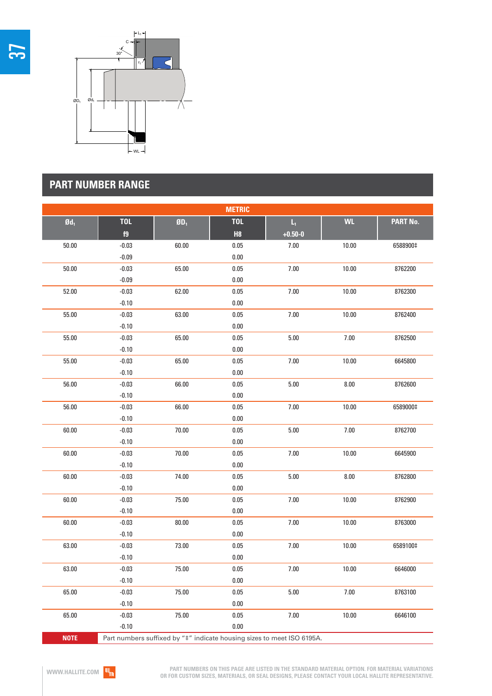



| <b>METRIC</b>     |            |                                                                                   |            |                         |           |          |
|-------------------|------------|-----------------------------------------------------------------------------------|------------|-------------------------|-----------|----------|
| $\mathfrak{gd}_1$ | <b>TOL</b> | $\boldsymbol{0}\boldsymbol{0}_1$                                                  | <b>TOL</b> | $\mathsf{L}_\mathrm{I}$ | <b>WL</b> | PART No. |
|                   | f9         |                                                                                   | H8         | $+0.50 - 0$             |           |          |
| 50.00             | $-0.03$    | 60.00                                                                             | $0.05\,$   | 7.00                    | 10.00     | 6588900‡ |
|                   | $-0.09$    |                                                                                   | 0.00       |                         |           |          |
| 50.00             | $-0.03$    | 65.00                                                                             | $0.05\,$   | 7.00                    | 10.00     | 8762200  |
|                   | $-0.09$    |                                                                                   | $0.00\,$   |                         |           |          |
| 52.00             | $-0.03$    | 62.00                                                                             | 0.05       | 7.00                    | 10.00     | 8762300  |
|                   | $-0.10$    |                                                                                   | $0.00\,$   |                         |           |          |
| 55.00             | $-0.03$    | 63.00                                                                             | 0.05       | 7.00                    | 10.00     | 8762400  |
|                   | $-0.10$    |                                                                                   | 0.00       |                         |           |          |
| 55.00             | $-0.03$    | 65.00                                                                             | 0.05       | $5.00$                  | $7.00\,$  | 8762500  |
|                   | $-0.10$    |                                                                                   | $0.00\,$   |                         |           |          |
| 55.00             | $-0.03$    | 65.00                                                                             | 0.05       | 7.00                    | 10.00     | 6645800  |
|                   | $-0.10$    |                                                                                   | $0.00\,$   |                         |           |          |
| 56.00             | $-0.03$    | 66.00                                                                             | 0.05       | 5.00                    | $8.00\,$  | 8762600  |
|                   | $-0.10$    |                                                                                   | $0.00\,$   |                         |           |          |
| 56.00             | $-0.03$    | 66.00                                                                             | $0.05\,$   | 7.00                    | 10.00     | 6589000‡ |
|                   | $-0.10$    |                                                                                   | $0.00\,$   |                         |           |          |
| 60.00             | $-0.03$    | 70.00                                                                             | $0.05\,$   | $5.00$                  | $7.00\,$  | 8762700  |
|                   | $-0.10$    |                                                                                   | $0.00\,$   |                         |           |          |
| 60.00             | $-0.03$    | 70.00                                                                             | $0.05\,$   | 7.00                    | 10.00     | 6645900  |
|                   | $-0.10$    |                                                                                   | $0.00\,$   |                         |           |          |
| 60.00             | $-0.03$    | 74.00                                                                             | $0.05\,$   | $5.00$                  | $8.00\,$  | 8762800  |
|                   | $-0.10$    |                                                                                   | $0.00\,$   |                         |           |          |
| 60.00             | $-0.03$    | 75.00                                                                             | $0.05\,$   | $7.00$                  | 10.00     | 8762900  |
|                   | $-0.10$    |                                                                                   | $0.00\,$   |                         |           |          |
| 60.00             | $-0.03$    | 80.00                                                                             | 0.05       | 7.00                    | 10.00     | 8763000  |
|                   | $-0.10$    |                                                                                   | $0.00\,$   |                         |           |          |
| 63.00             | $-0.03$    | 73.00                                                                             | $0.05\,$   | $7.00$                  | 10.00     | 6589100‡ |
|                   | $-0.10$    |                                                                                   | $0.00\,$   |                         |           |          |
| 63.00             | $-0.03$    | 75.00                                                                             | 0.05       | 7.00                    | 10.00     | 6646000  |
|                   | $-0.10$    |                                                                                   | 0.00       |                         |           |          |
| 65.00             | $-0.03$    | 75.00                                                                             | $0.05\,$   | 5.00                    | 7.00      | 8763100  |
|                   | $-0.10$    |                                                                                   | 0.00       |                         |           |          |
| 65.00             | $-0.03$    | 75.00                                                                             | 0.05       | $7.00$                  | 10.00     | 6646100  |
|                   | $-0.10$    |                                                                                   | 0.00       |                         |           |          |
| <b>NOTE</b>       |            | Part numbers suffixed by " <sup>+"</sup> indicate bousing sizes to meet ISO 6195A |            |                         |           |          |

Part numbers suffixed by " $\ddagger$ " indicate housing sizes to meet ISO 6195A.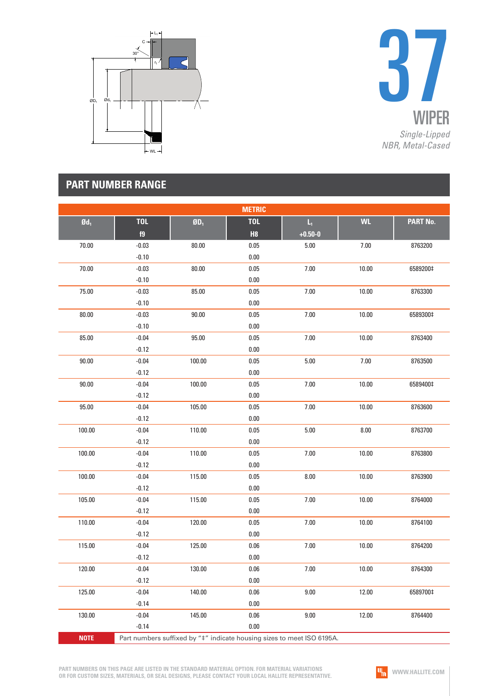



| <b>METRIC</b>     |            |                                  |            |                                                                        |           |                 |
|-------------------|------------|----------------------------------|------------|------------------------------------------------------------------------|-----------|-----------------|
| $\mathfrak{gd}_1$ | <b>TOL</b> | $\boldsymbol{0}\boldsymbol{0}_1$ | <b>TOL</b> | $L_1$                                                                  | <b>WL</b> | <b>PART No.</b> |
|                   | f9         |                                  | H8         | $+0.50 - 0$                                                            |           |                 |
| 70.00             | $-0.03$    | 80.00                            | 0.05       | $5.00$                                                                 | $7.00$    | 8763200         |
|                   | $-0.10$    |                                  | $0.00\,$   |                                                                        |           |                 |
| 70.00             | $-0.03$    | 80.00                            | 0.05       | 7.00                                                                   | 10.00     | 6589200‡        |
|                   | $-0.10$    |                                  | $0.00\,$   |                                                                        |           |                 |
| 75.00             | $-0.03$    | 85.00                            | $0.05\,$   | 7.00                                                                   | 10.00     | 8763300         |
|                   | $-0.10$    |                                  | $0.00\,$   |                                                                        |           |                 |
| 80.00             | $-0.03$    | 90.00                            | $0.05\,$   | 7.00                                                                   | 10.00     | 6589300‡        |
|                   | $-0.10$    |                                  | $0.00\,$   |                                                                        |           |                 |
| 85.00             | $-0.04$    | 95.00                            | 0.05       | 7.00                                                                   | 10.00     | 8763400         |
|                   | $-0.12$    |                                  | $0.00\,$   |                                                                        |           |                 |
| 90.00             | $-0.04$    | 100.00                           | $0.05\,$   | $5.00$                                                                 | 7.00      | 8763500         |
|                   | $-0.12$    |                                  | $0.00\,$   |                                                                        |           |                 |
| 90.00             | $-0.04$    | 100.00                           | $0.05\,$   | 7.00                                                                   | 10.00     | 6589400‡        |
|                   | $-0.12$    |                                  | $0.00\,$   |                                                                        |           |                 |
| 95.00             | $-0.04$    | 105.00                           | $0.05\,$   | 7.00                                                                   | 10.00     | 8763600         |
|                   | $-0.12$    |                                  | $0.00\,$   |                                                                        |           |                 |
| 100.00            | $-0.04$    | 110.00                           | $0.05\,$   | $5.00$                                                                 | 8.00      | 8763700         |
|                   | $-0.12$    |                                  | $0.00\,$   |                                                                        |           |                 |
| 100.00            | $-0.04$    | 110.00                           | $0.05\,$   | 7.00                                                                   | 10.00     | 8763800         |
|                   | $-0.12$    |                                  | $0.00\,$   |                                                                        |           |                 |
| 100.00            | $-0.04$    | 115.00                           | $0.05\,$   | 8.00                                                                   | 10.00     | 8763900         |
|                   | $-0.12$    |                                  | $0.00\,$   |                                                                        |           |                 |
| 105.00            | $-0.04$    | 115.00                           | $0.05\,$   | 7.00                                                                   | 10.00     | 8764000         |
|                   | $-0.12$    |                                  | $0.00\,$   |                                                                        |           |                 |
| 110.00            | $-0.04$    | 120.00                           | $0.05\,$   | 7.00                                                                   | 10.00     | 8764100         |
|                   | $-0.12$    |                                  | $0.00\,$   |                                                                        |           |                 |
| 115.00            | $-0.04$    | 125.00                           | $0.06\,$   | 7.00                                                                   | 10.00     | 8764200         |
|                   | $-0.12$    |                                  | $0.00\,$   |                                                                        |           |                 |
| 120.00            | $-0.04$    | 130.00                           | 0.06       | 7.00                                                                   | 10.00     | 8764300         |
|                   | $-0.12$    |                                  | 0.00       |                                                                        |           |                 |
| 125.00            | $-0.04$    | 140.00                           | 0.06       | 9.00                                                                   | 12.00     | 6589700‡        |
|                   | $-0.14$    |                                  | 0.00       |                                                                        |           |                 |
| 130.00            | $-0.04$    | 145.00                           | 0.06       | 9.00                                                                   | 12.00     | 8764400         |
|                   | $-0.14$    |                                  | 0.00       |                                                                        |           |                 |
| <b>NOTE</b>       |            |                                  |            | Part numbers suffixed by "#" indicate housing sizes to meet ISO 6195A. |           |                 |

**PART NUMBERS ON THIS PAGE ARE LISTED IN THE STANDARD MATERIAL OPTION. FOR MATERIAL VARIATIONS OR FOR CUSTOM SIZES, MATERIALS, OR SEAL DESIGNS, PLEASE CONTACT YOUR LOCAL HALLITE REPRESENTATIVE.**